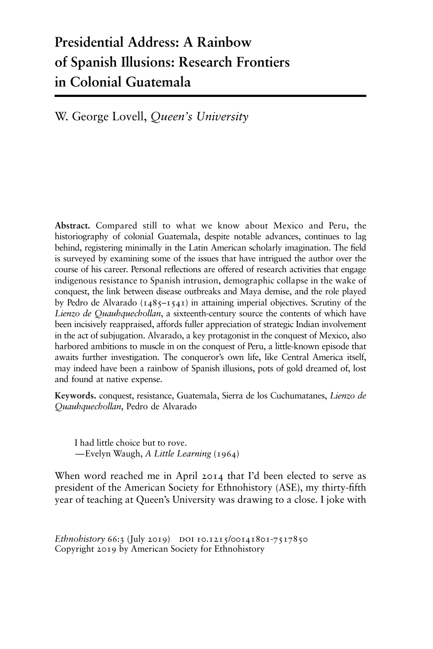# Presidential Address: A Rainbow of Spanish Illusions: Research Frontiers in Colonial Guatemala

# W. George Lovell, Queen's University

Abstract. Compared still to what we know about Mexico and Peru, the historiography of colonial Guatemala, despite notable advances, continues to lag behind, registering minimally in the Latin American scholarly imagination. The field is surveyed by examining some of the issues that have intrigued the author over the course of his career. Personal reflections are offered of research activities that engage indigenous resistance to Spanish intrusion, demographic collapse in the wake of conquest, the link between disease outbreaks and Maya demise, and the role played by Pedro de Alvarado  $(1485 - 1541)$  in attaining imperial objectives. Scrutiny of the Lienzo de Quauhquechollan, a sixteenth-century source the contents of which have been incisively reappraised, affords fuller appreciation of strategic Indian involvement in the act of subjugation. Alvarado, a key protagonist in the conquest of Mexico, also harbored ambitions to muscle in on the conquest of Peru, a little-known episode that awaits further investigation. The conqueror's own life, like Central America itself, may indeed have been a rainbow of Spanish illusions, pots of gold dreamed of, lost and found at native expense.

Keywords. conquest, resistance, Guatemala, Sierra de los Cuchumatanes, Lienzo de Quauhquechollan, Pedro de Alvarado

I had little choice but to rove. —Evelyn Waugh, A Little Learning (1964)

When word reached me in April 2014 that I'd been elected to serve as president of the American Society for Ethnohistory (ASE), my thirty-fifth year of teaching at Queen's University was drawing to a close. I joke with

Ethnohistory 66:3 (July 2019) DOI 10.1215/00141801-7517850 Copyright 2019 by American Society for Ethnohistory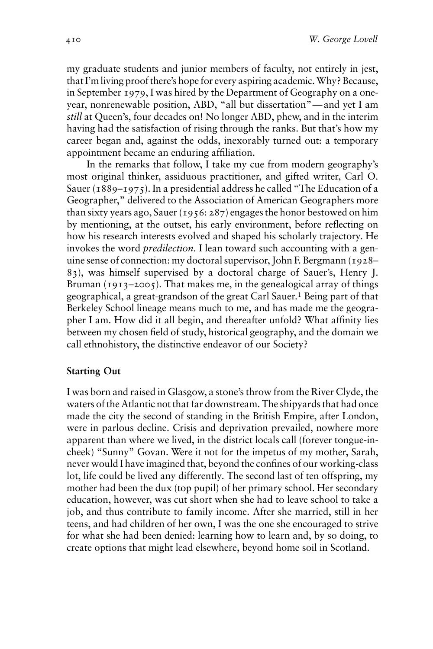my graduate students and junior members of faculty, not entirely in jest, that I'm living proof there's hope for every aspiring academic.Why? Because, in September 1979, I was hired by the Department of Geography on a oneyear, nonrenewable position, ABD, "all but dissertation"—and yet I am still at Queen's, four decades on! No longer ABD, phew, and in the interim having had the satisfaction of rising through the ranks. But that's how my career began and, against the odds, inexorably turned out: a temporary appointment became an enduring affiliation.

In the remarks that follow, I take my cue from modern geography's most original thinker, assiduous practitioner, and gifted writer, Carl O. Sauer ( $1889-1975$ ). In a presidential address he called "The Education of a Geographer," delivered to the Association of American Geographers more than sixty years ago, Sauer (1956:  $287$ ) engages the honor bestowed on him by mentioning, at the outset, his early environment, before reflecting on how his research interests evolved and shaped his scholarly trajectory. He invokes the word predilection. I lean toward such accounting with a genuine sense of connection: my doctoral supervisor, John F. Bergmann (1928– 83), was himself supervised by a doctoral charge of Sauer's, Henry J. Bruman  $(1913-2005)$ . That makes me, in the genealogical array of things geographical, a great-grandson of the great Carl Sauer.1 Being part of that Berkeley School lineage means much to me, and has made me the geographer I am. How did it all begin, and thereafter unfold? What affinity lies between my chosen field of study, historical geography, and the domain we call ethnohistory, the distinctive endeavor of our Society?

# Starting Out

I was born and raised in Glasgow, a stone's throw from the River Clyde, the waters of the Atlantic not that far downstream. The shipyards that had once made the city the second of standing in the British Empire, after London, were in parlous decline. Crisis and deprivation prevailed, nowhere more apparent than where we lived, in the district locals call (forever tongue-incheek) "Sunny" Govan. Were it not for the impetus of my mother, Sarah, never would I have imagined that, beyond the confines of our working-class lot, life could be lived any differently. The second last of ten offspring, my mother had been the dux (top pupil) of her primary school. Her secondary education, however, was cut short when she had to leave school to take a job, and thus contribute to family income. After she married, still in her teens, and had children of her own, I was the one she encouraged to strive for what she had been denied: learning how to learn and, by so doing, to create options that might lead elsewhere, beyond home soil in Scotland.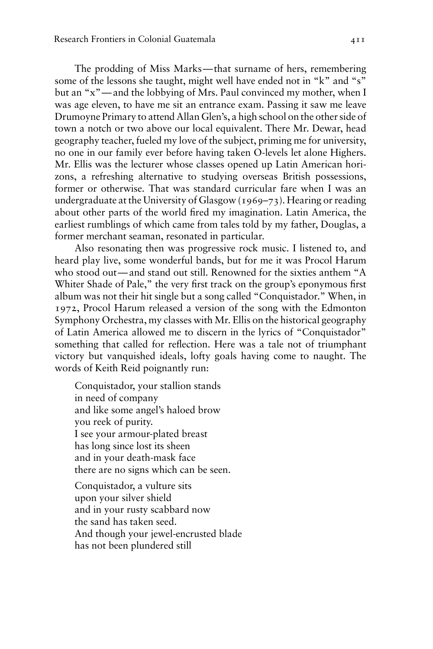The prodding of Miss Marks—that surname of hers, remembering some of the lessons she taught, might well have ended not in "k" and "s" but an "x"—and the lobbying of Mrs. Paul convinced my mother, when I was age eleven, to have me sit an entrance exam. Passing it saw me leave Drumoyne Primary to attend Allan Glen's, a high school on the other side of town a notch or two above our local equivalent. There Mr. Dewar, head geography teacher, fueled my love of the subject, priming me for university, no one in our family ever before having taken O-levels let alone Highers. Mr. Ellis was the lecturer whose classes opened up Latin American horizons, a refreshing alternative to studying overseas British possessions, former or otherwise. That was standard curricular fare when I was an undergraduate at the University of Glasgow (1969–73). Hearing or reading about other parts of the world fired my imagination. Latin America, the earliest rumblings of which came from tales told by my father, Douglas, a former merchant seaman, resonated in particular.

Also resonating then was progressive rock music. I listened to, and heard play live, some wonderful bands, but for me it was Procol Harum who stood out—and stand out still. Renowned for the sixties anthem "A Whiter Shade of Pale," the very first track on the group's eponymous first album was not their hit single but a song called "Conquistador." When, in 1972, Procol Harum released a version of the song with the Edmonton Symphony Orchestra, my classes with Mr. Ellis on the historical geography of Latin America allowed me to discern in the lyrics of "Conquistador" something that called for reflection. Here was a tale not of triumphant victory but vanquished ideals, lofty goals having come to naught. The words of Keith Reid poignantly run:

Conquistador, your stallion stands in need of company and like some angel's haloed brow you reek of purity. I see your armour-plated breast has long since lost its sheen and in your death-mask face there are no signs which can be seen.

Conquistador, a vulture sits upon your silver shield and in your rusty scabbard now the sand has taken seed. And though your jewel-encrusted blade has not been plundered still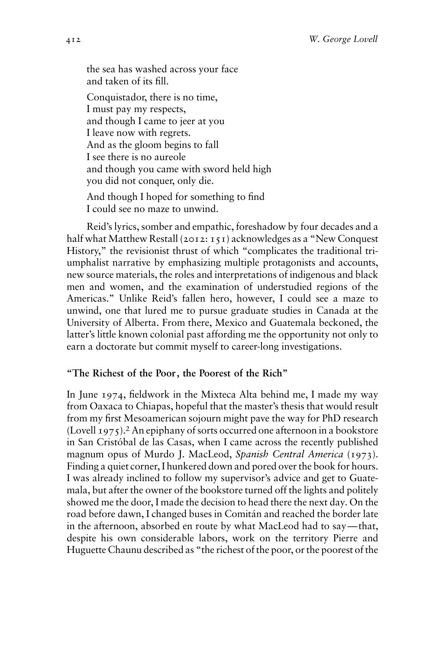the sea has washed across your face and taken of its fill.

Conquistador, there is no time, I must pay my respects, and though I came to jeer at you I leave now with regrets. And as the gloom begins to fall I see there is no aureole and though you came with sword held high you did not conquer, only die. And though I hoped for something to find I could see no maze to unwind.

Reid's lyrics, somber and empathic, foreshadow by four decades and a half what Matthew Restall (2012: 151) acknowledges as a "New Conquest History," the revisionist thrust of which "complicates the traditional triumphalist narrative by emphasizing multiple protagonists and accounts, new source materials, the roles and interpretations of indigenous and black men and women, and the examination of understudied regions of the Americas." Unlike Reid's fallen hero, however, I could see a maze to unwind, one that lured me to pursue graduate studies in Canada at the University of Alberta. From there, Mexico and Guatemala beckoned, the latter's little known colonial past affording me the opportunity not only to earn a doctorate but commit myself to career-long investigations.

# "The Richest of the Poor, the Poorest of the Rich"

In June 1974, fieldwork in the Mixteca Alta behind me, I made my way from Oaxaca to Chiapas, hopeful that the master's thesis that would result from my first Mesoamerican sojourn might pave the way for PhD research (Lovell 1975).<sup>2</sup> An epiphany of sorts occurred one afternoon in a bookstore in San Cristóbal de las Casas, when I came across the recently published magnum opus of Murdo J. MacLeod, Spanish Central America (1973). Finding a quiet corner, I hunkered down and pored over the book for hours. I was already inclined to follow my supervisor's advice and get to Guatemala, but after the owner of the bookstore turned off the lights and politely showed me the door, I made the decision to head there the next day. On the road before dawn, I changed buses in Comitán and reached the border late in the afternoon, absorbed en route by what MacLeod had to say—that, despite his own considerable labors, work on the territory Pierre and Huguette Chaunu described as "the richest of the poor, or the poorest of the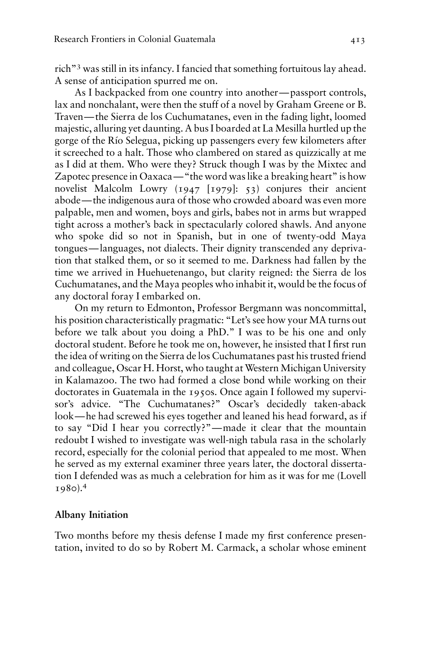rich"3 was still in its infancy. I fancied that something fortuitous lay ahead. A sense of anticipation spurred me on.

As I backpacked from one country into another—passport controls, lax and nonchalant, were then the stuff of a novel by Graham Greene or B. Traven—the Sierra de los Cuchumatanes, even in the fading light, loomed majestic, alluring yet daunting. A bus I boarded at La Mesilla hurtled up the gorge of the Río Selegua, picking up passengers every few kilometers after it screeched to a halt. Those who clambered on stared as quizzically at me as I did at them. Who were they? Struck though I was by the Mixtec and Zapotec presence in Oaxaca—"the word was like a breaking heart" is how novelist Malcolm Lowry (1947 [1979]: 53) conjures their ancient abode—the indigenous aura of those who crowded aboard was even more palpable, men and women, boys and girls, babes not in arms but wrapped tight across a mother's back in spectacularly colored shawls. And anyone who spoke did so not in Spanish, but in one of twenty-odd Maya tongues—languages, not dialects. Their dignity transcended any deprivation that stalked them, or so it seemed to me. Darkness had fallen by the time we arrived in Huehuetenango, but clarity reigned: the Sierra de los Cuchumatanes, and the Maya peoples who inhabit it, would be the focus of any doctoral foray I embarked on.

On my return to Edmonton, Professor Bergmann was noncommittal, his position characteristically pragmatic: "Let's see how your MA turns out before we talk about you doing a PhD." I was to be his one and only doctoral student. Before he took me on, however, he insisted that I first run the idea of writing on the Sierra de los Cuchumatanes past his trusted friend and colleague, Oscar H. Horst, who taught at Western Michigan University in Kalamazoo. The two had formed a close bond while working on their doctorates in Guatemala in the 1950s. Once again I followed my supervisor's advice. "The Cuchumatanes?" Oscar's decidedly taken-aback look—he had screwed his eyes together and leaned his head forward, as if to say "Did I hear you correctly?"—made it clear that the mountain redoubt I wished to investigate was well-nigh tabula rasa in the scholarly record, especially for the colonial period that appealed to me most. When he served as my external examiner three years later, the doctoral dissertation I defended was as much a celebration for him as it was for me (Lovell 1980).4

## Albany Initiation

Two months before my thesis defense I made my first conference presentation, invited to do so by Robert M. Carmack, a scholar whose eminent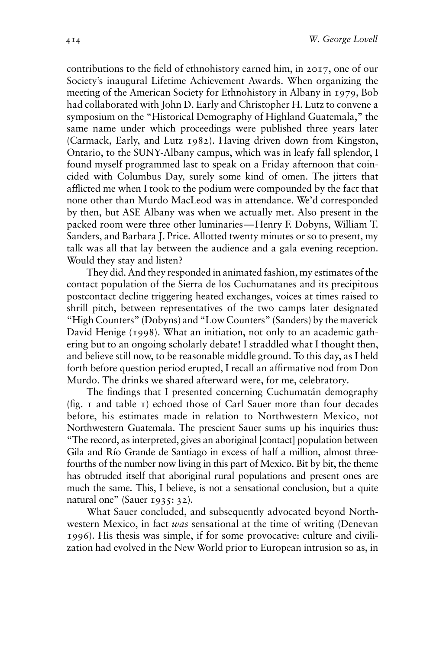contributions to the field of ethnohistory earned him, in 2017, one of our Society's inaugural Lifetime Achievement Awards. When organizing the meeting of the American Society for Ethnohistory in Albany in 1979, Bob had collaborated with John D. Early and Christopher H. Lutz to convene a symposium on the "Historical Demography of Highland Guatemala," the same name under which proceedings were published three years later (Carmack, Early, and Lutz 1982). Having driven down from Kingston, Ontario, to the SUNY-Albany campus, which was in leafy fall splendor, I found myself programmed last to speak on a Friday afternoon that coincided with Columbus Day, surely some kind of omen. The jitters that afflicted me when I took to the podium were compounded by the fact that none other than Murdo MacLeod was in attendance. We'd corresponded by then, but ASE Albany was when we actually met. Also present in the packed room were three other luminaries—Henry F. Dobyns, William T. Sanders, and Barbara J. Price. Allotted twenty minutes or so to present, my talk was all that lay between the audience and a gala evening reception. Would they stay and listen?

They did. And they responded in animated fashion, my estimates of the contact population of the Sierra de los Cuchumatanes and its precipitous postcontact decline triggering heated exchanges, voices at times raised to shrill pitch, between representatives of the two camps later designated "High Counters" (Dobyns) and "Low Counters" (Sanders) by the maverick David Henige (1998). What an initiation, not only to an academic gathering but to an ongoing scholarly debate! I straddled what I thought then, and believe still now, to be reasonable middle ground. To this day, as I held forth before question period erupted, I recall an affirmative nod from Don Murdo. The drinks we shared afterward were, for me, celebratory.

The findings that I presented concerning Cuchumatán demography (fig. 1 and table 1) echoed those of Carl Sauer more than four decades before, his estimates made in relation to Northwestern Mexico, not Northwestern Guatemala. The prescient Sauer sums up his inquiries thus: "The record, as interpreted, gives an aboriginal [contact] population between Gila and Río Grande de Santiago in excess of half a million, almost threefourths of the number now living in this part of Mexico. Bit by bit, the theme has obtruded itself that aboriginal rural populations and present ones are much the same. This, I believe, is not a sensational conclusion, but a quite natural one" (Sauer 1935: 32).

What Sauer concluded, and subsequently advocated beyond Northwestern Mexico, in fact was sensational at the time of writing (Denevan 1996). His thesis was simple, if for some provocative: culture and civilization had evolved in the New World prior to European intrusion so as, in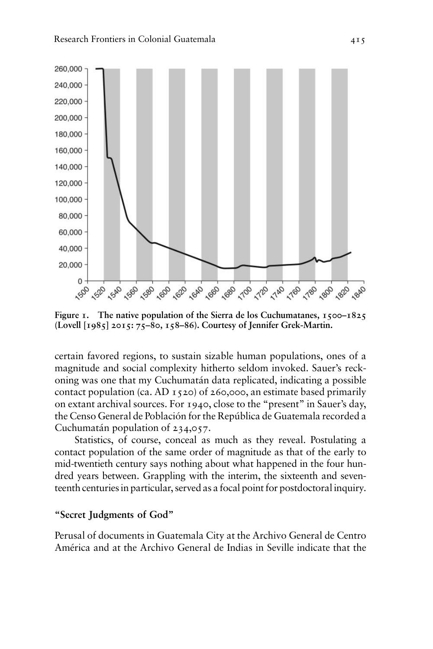

Figure 1. The native population of the Sierra de los Cuchumatanes,  $1500 - 1825$ (Lovell [1985] 2015: 75–80, 158–86). Courtesy of Jennifer Grek-Martin.

certain favored regions, to sustain sizable human populations, ones of a magnitude and social complexity hitherto seldom invoked. Sauer's reckoning was one that my Cuchumatán data replicated, indicating a possible contact population (ca. AD  $_1$ 520) of 260,000, an estimate based primarily on extant archival sources. For 1940, close to the "present" in Sauer's day, the Censo General de Población for the República de Guatemala recorded a Cuchumatán population of 234,057.

Statistics, of course, conceal as much as they reveal. Postulating a contact population of the same order of magnitude as that of the early to mid-twentieth century says nothing about what happened in the four hundred years between. Grappling with the interim, the sixteenth and seventeenth centuries in particular, served as a focal point for postdoctoral inquiry.

#### "Secret Judgments of God"

Perusal of documents in Guatemala City at the Archivo General de Centro América and at the Archivo General de Indias in Seville indicate that the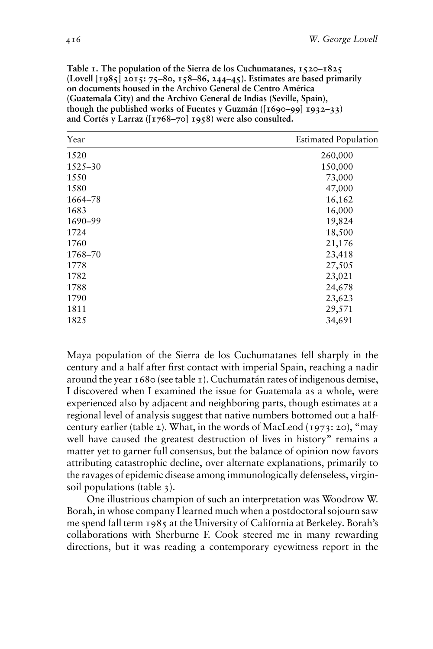| Year    | <b>Estimated Population</b> |
|---------|-----------------------------|
| 1520    | 260,000                     |
| 1525-30 | 150,000                     |
| 1550    | 73,000                      |
| 1580    | 47,000                      |
| 1664–78 | 16,162                      |
| 1683    | 16,000                      |
| 1690-99 | 19,824                      |
| 1724    | 18,500                      |
| 1760    | 21,176                      |
| 1768-70 | 23,418                      |
| 1778    | 27,505                      |
| 1782    | 23,021                      |
| 1788    | 24,678                      |
| 1790    | 23,623                      |
| 1811    | 29,571                      |
| 1825    | 34,691                      |

Table 1. The population of the Sierra de los Cuchumatanes, 1520–1825 (Lovell [1985] 2015: 75–80, 158–86, 244–45). Estimates are based primarily on documents housed in the Archivo General de Centro América (Guatemala City) and the Archivo General de Indias (Seville, Spain), though the published works of Fuentes y Guzmán ( $[1690-99]$  1932–33) and Cortés y Larraz ([1768–70] 1958) were also consulted.

Maya population of the Sierra de los Cuchumatanes fell sharply in the century and a half after first contact with imperial Spain, reaching a nadir around the year 1680 (see table 1). Cuchumatán rates of indigenous demise, I discovered when I examined the issue for Guatemala as a whole, were experienced also by adjacent and neighboring parts, though estimates at a regional level of analysis suggest that native numbers bottomed out a halfcentury earlier (table 2). What, in the words of MacLeod (1973: 20), "may well have caused the greatest destruction of lives in history" remains a matter yet to garner full consensus, but the balance of opinion now favors attributing catastrophic decline, over alternate explanations, primarily to the ravages of epidemic disease among immunologically defenseless, virginsoil populations (table 3).

One illustrious champion of such an interpretation was Woodrow W. Borah, in whose company I learned much when a postdoctoral sojourn saw me spend fall term 1985 at the University of California at Berkeley. Borah's collaborations with Sherburne F. Cook steered me in many rewarding directions, but it was reading a contemporary eyewitness report in the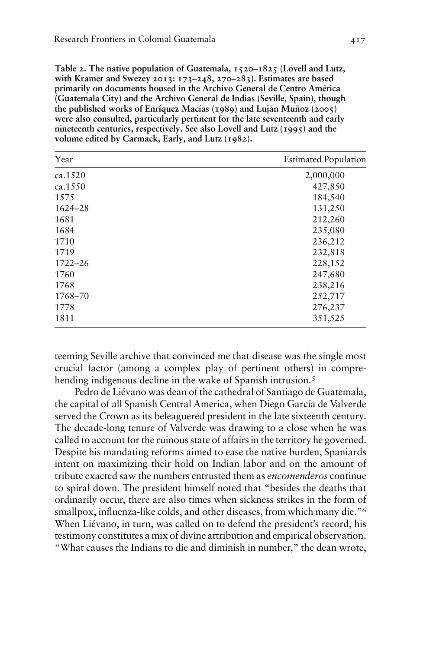| Table 2. The native population of Guatemala, 1520–1825 (Lovell and Lutz,       |
|--------------------------------------------------------------------------------|
| with Kramer and Swezey 2013: $173-248$ , $270-283$ ). Estimates are based      |
| primarily on documents housed in the Archivo General de Centro América         |
| (Guatemala City) and the Archivo General de Indias (Seville, Spain), though    |
| the published works of Enríquez Macías (1989) and Luján Muñoz (2005)           |
| were also consulted, particularly pertinent for the late seventeenth and early |
| nineteenth centuries, respectively. See also Lovell and Lutz (1995) and the    |
| volume edited by Carmack, Early, and Lutz (1982).                              |
|                                                                                |

| Year        | <b>Estimated Population</b> |
|-------------|-----------------------------|
| ca.1520     | 2,000,000                   |
| ca.1550     | 427,850                     |
| 1575        | 184,540                     |
| $1624 - 28$ | 131,250                     |
| 1681        | 212,260                     |
| 1684        | 235,080                     |
| 1710        | 236,212                     |
| 1719        | 232,818                     |
| 1722–26     | 228,152                     |
| 1760        | 247,680                     |
| 1768        | 238,216                     |
| 1768–70     | 252,717                     |
| 1778        | 276,237                     |
| 1811        | 351,525                     |

teeming Seville archive that convinced me that disease was the single most crucial factor (among a complex play of pertinent others) in comprehending indigenous decline in the wake of Spanish intrusion.<sup>5</sup>

Pedro de Liévano was dean of the cathedral of Santiago de Guatemala, the capital of all Spanish Central America, when Diego García de Valverde served the Crown as its beleaguered president in the late sixteenth century. The decade-long tenure of Valverde was drawing to a close when he was called to account for the ruinous state of affairs in the territory he governed. Despite his mandating reforms aimed to ease the native burden, Spaniards intent on maximizing their hold on Indian labor and on the amount of tribute exacted saw the numbers entrusted them as *encomenderos* continue to spiral down. The president himself noted that "besides the deaths that ordinarily occur, there are also times when sickness strikes in the form of smallpox, influenza-like colds, and other diseases, from which many die."<sup>6</sup> When Liévano, in turn, was called on to defend the president's record, his testimony constitutes a mix of divine attribution and empirical observation. "What causes the Indians to die and diminish in number," the dean wrote,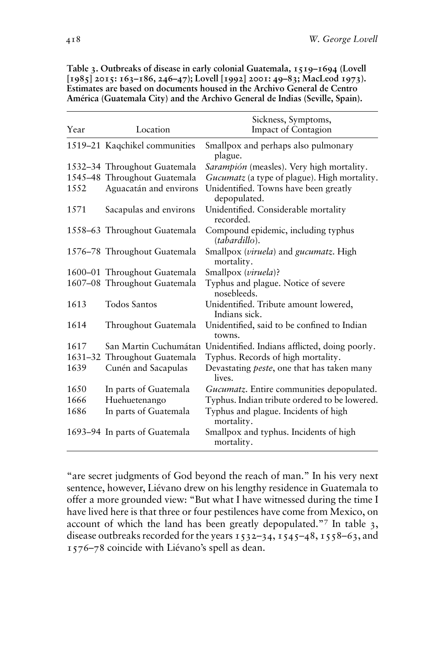| Year | Location                      | Sickness, Symptoms,<br>Impact of Contagion             |
|------|-------------------------------|--------------------------------------------------------|
|      | 1519-21 Kaqchikel communities | Smallpox and perhaps also pulmonary<br>plague.         |
|      | 1532-34 Throughout Guatemala  | Sarampión (measles). Very high mortality.              |
|      | 1545-48 Throughout Guatemala  | Gucumatz (a type of plague). High mortality.           |
| 1552 | Aguacatán and environs        | Unidentified. Towns have been greatly<br>depopulated.  |
| 1571 | Sacapulas and environs        | Unidentified. Considerable mortality<br>recorded.      |
|      | 1558–63 Throughout Guatemala  | Compound epidemic, including typhus<br>(tabardillo).   |
|      | 1576–78 Throughout Guatemala  | Smallpox (viruela) and gucumatz. High<br>mortality.    |
|      | 1600-01 Throughout Guatemala  | Smallpox (viruela)?                                    |
|      | 1607-08 Throughout Guatemala  | Typhus and plague. Notice of severe<br>nosebleeds.     |
| 1613 | Todos Santos                  | Unidentified. Tribute amount lowered,<br>Indians sick. |
| 1614 | Throughout Guatemala          | Unidentified, said to be confined to Indian<br>towns.  |
| 1617 | San Martin Cuchumátan         | Unidentified. Indians afflicted, doing poorly.         |
|      | 1631-32 Throughout Guatemala  | Typhus. Records of high mortality.                     |
| 1639 | Cunén and Sacapulas           | Devastating peste, one that has taken many<br>lives.   |
| 1650 | In parts of Guatemala         | Gucumatz. Entire communities depopulated.              |
| 1666 | Huehuetenango                 | Typhus. Indian tribute ordered to be lowered.          |
| 1686 | In parts of Guatemala         | Typhus and plague. Incidents of high<br>mortality.     |
|      | 1693-94 In parts of Guatemala | Smallpox and typhus. Incidents of high<br>mortality.   |

Table 3. Outbreaks of disease in early colonial Guatemala, 1519–1694 (Lovell [1985] 2015: 163-186, 246-47); Lovell [1992] 2001: 49-83; MacLeod 1973). Estimates are based on documents housed in the Archivo General de Centro América (Guatemala City) and the Archivo General de Indias (Seville, Spain).

"are secret judgments of God beyond the reach of man." In his very next sentence, however, Liévano drew on his lengthy residence in Guatemala to offer a more grounded view: "But what I have witnessed during the time I have lived here is that three or four pestilences have come from Mexico, on account of which the land has been greatly depopulated."7 In table 3, disease outbreaks recorded for the years 1532–34, 1545–48, 1558–63, and 1576–78 coincide with Liévano's spell as dean.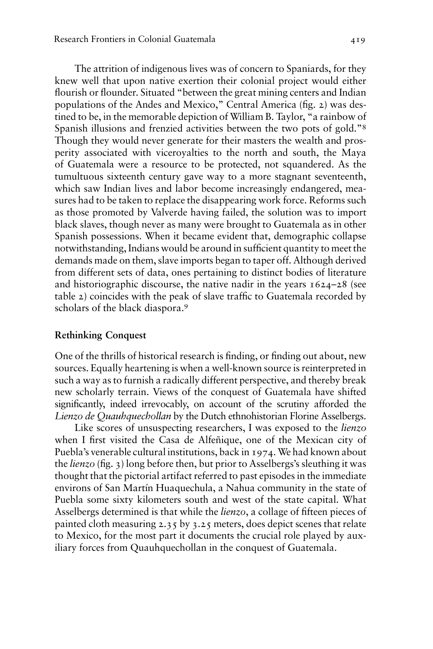The attrition of indigenous lives was of concern to Spaniards, for they knew well that upon native exertion their colonial project would either flourish or flounder. Situated "between the great mining centers and Indian populations of the Andes and Mexico," Central America (fig. 2) was destined to be, in the memorable depiction of William B. Taylor, "a rainbow of Spanish illusions and frenzied activities between the two pots of gold."8 Though they would never generate for their masters the wealth and prosperity associated with viceroyalties to the north and south, the Maya of Guatemala were a resource to be protected, not squandered. As the tumultuous sixteenth century gave way to a more stagnant seventeenth, which saw Indian lives and labor become increasingly endangered, measures had to be taken to replace the disappearing work force. Reforms such as those promoted by Valverde having failed, the solution was to import black slaves, though never as many were brought to Guatemala as in other Spanish possessions. When it became evident that, demographic collapse notwithstanding, Indians would be around in sufficient quantity to meet the demands made on them, slave imports began to taper off. Although derived from different sets of data, ones pertaining to distinct bodies of literature and historiographic discourse, the native nadir in the years  $1624-28$  (see table 2) coincides with the peak of slave traffic to Guatemala recorded by scholars of the black diaspora.<sup>9</sup>

#### Rethinking Conquest

One of the thrills of historical research is finding, or finding out about, new sources. Equally heartening is when a well-known source is reinterpreted in such a way as to furnish a radically different perspective, and thereby break new scholarly terrain. Views of the conquest of Guatemala have shifted significantly, indeed irrevocably, on account of the scrutiny afforded the Lienzo de Quauhquechollan by the Dutch ethnohistorian Florine Asselbergs.

Like scores of unsuspecting researchers, I was exposed to the lienzo when I first visited the Casa de Alfeñique, one of the Mexican city of Puebla's venerable cultural institutions, back in 1974. We had known about the lienzo (fig. 3) long before then, but prior to Asselbergs's sleuthing it was thought that the pictorial artifact referred to past episodes in the immediate environs of San Martín Huaquechula, a Nahua community in the state of Puebla some sixty kilometers south and west of the state capital. What Asselbergs determined is that while the *lienzo*, a collage of fifteen pieces of painted cloth measuring 2.35 by 3.25 meters, does depict scenes that relate to Mexico, for the most part it documents the crucial role played by auxiliary forces from Quauhquechollan in the conquest of Guatemala.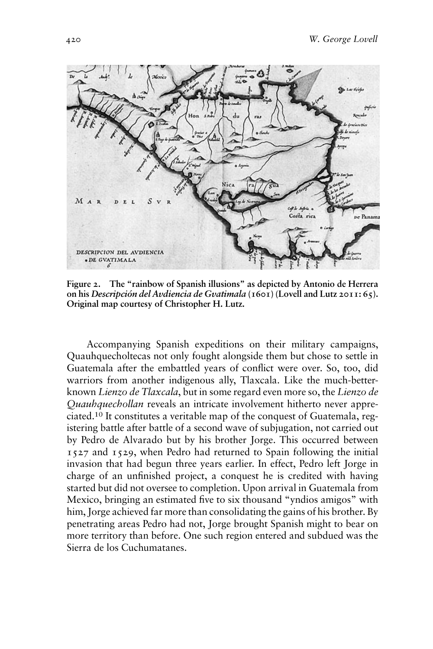

Figure 2. The "rainbow of Spanish illusions" as depicted by Antonio de Herrera on his Descripción del Avdiencia de Gvatimala (1601) (Lovell and Lutz 2011: 65). Original map courtesy of Christopher H. Lutz.

Accompanying Spanish expeditions on their military campaigns, Quauhquecholtecas not only fought alongside them but chose to settle in Guatemala after the embattled years of conflict were over. So, too, did warriors from another indigenous ally, Tlaxcala. Like the much-betterknown Lienzo de Tlaxcala, but in some regard even more so, the Lienzo de Quauhquechollan reveals an intricate involvement hitherto never appreciated.10 It constitutes a veritable map of the conquest of Guatemala, registering battle after battle of a second wave of subjugation, not carried out by Pedro de Alvarado but by his brother Jorge. This occurred between 1527 and 1529, when Pedro had returned to Spain following the initial invasion that had begun three years earlier. In effect, Pedro left Jorge in charge of an unfinished project, a conquest he is credited with having started but did not oversee to completion. Upon arrival in Guatemala from Mexico, bringing an estimated five to six thousand "yndios amigos" with him, Jorge achieved far more than consolidating the gains of his brother. By penetrating areas Pedro had not, Jorge brought Spanish might to bear on more territory than before. One such region entered and subdued was the Sierra de los Cuchumatanes.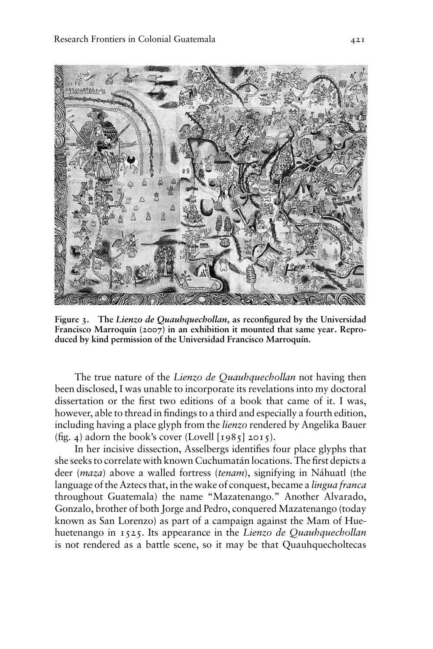

Figure 3. The Lienzo de Ouauhquechollan, as reconfigured by the Universidad Francisco Marroquín (2007) in an exhibition it mounted that same year. Reproduced by kind permission of the Universidad Francisco Marroquín.

The true nature of the Lienzo de Ouauhquechollan not having then been disclosed, I was unable to incorporate its revelations into my doctoral dissertation or the first two editions of a book that came of it. I was, however, able to thread in findings to a third and especially a fourth edition, including having a place glyph from the *lienzo* rendered by Angelika Bauer (fig. 4) adorn the book's cover (Lovell  $\lceil 1985 \rceil 2015$ ).

In her incisive dissection, Asselbergs identifies four place glyphs that she seeks to correlate with known Cuchumatán locations. The first depicts a deer *(maza)* above a walled fortress *(tenam)*, signifying in Náhuatl *(the* language of the Aztecs that, in the wake of conquest, became a *lingua franca* throughout Guatemala) the name "Mazatenango." Another Alvarado, Gonzalo, brother of both Jorge and Pedro, conquered Mazatenango (today known as San Lorenzo) as part of a campaign against the Mam of Huehuetenango in 1525. Its appearance in the Lienzo de Quauhquechollan is not rendered as a battle scene, so it may be that Quauhquecholtecas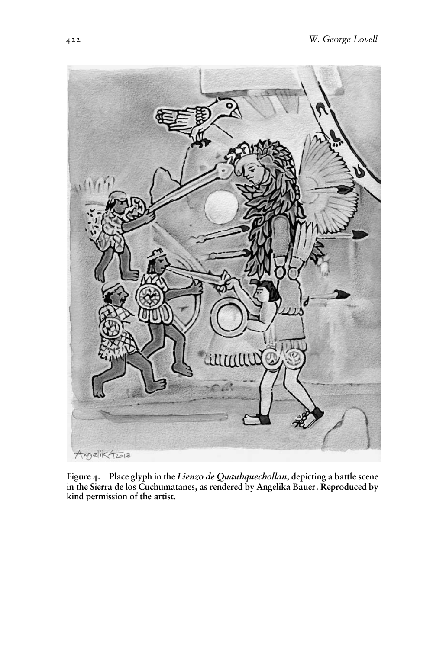

Figure 4. Place glyph in the Lienzo de Quauhquechollan, depicting a battle scene in the Sierra de los Cuchumatanes, as rendered by Angelika Bauer. Reproduced by kind permission of the artist.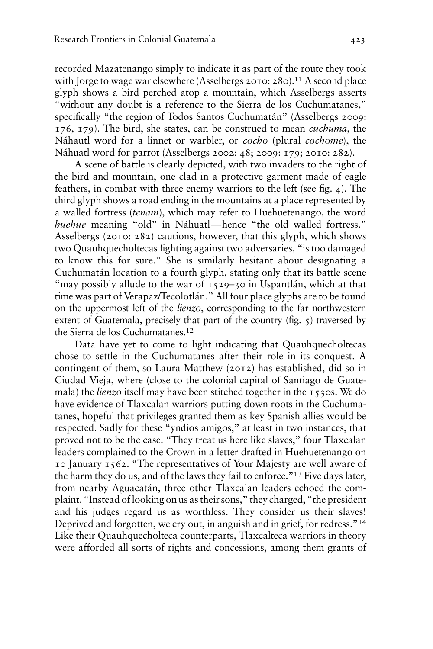recorded Mazatenango simply to indicate it as part of the route they took with Jorge to wage war elsewhere (Asselbergs 2010: 280).<sup>11</sup> A second place glyph shows a bird perched atop a mountain, which Asselbergs asserts "without any doubt is a reference to the Sierra de los Cuchumatanes," specifically "the region of Todos Santos Cuchumatán" (Asselbergs 2009: 176, 179). The bird, she states, can be construed to mean cuchuma, the Náhautl word for a linnet or warbler, or *cocho* (plural *cochome*), the Náhuatl word for parrot (Asselbergs 2002: 48; 2009: 179; 2010: 282).

A scene of battle is clearly depicted, with two invaders to the right of the bird and mountain, one clad in a protective garment made of eagle feathers, in combat with three enemy warriors to the left (see fig. 4). The third glyph shows a road ending in the mountains at a place represented by a walled fortress *(tenam)*, which may refer to Huehuetenango, the word huehue meaning "old" in Náhuatl—hence "the old walled fortress." Asselbergs (2010: 282) cautions, however, that this glyph, which shows two Quauhquecholtecas fighting against two adversaries, "is too damaged to know this for sure." She is similarly hesitant about designating a Cuchumatán location to a fourth glyph, stating only that its battle scene "may possibly allude to the war of  $1529-30$  in Uspantlán, which at that time was part of Verapaz/Tecolotlán." All four place glyphs are to be found on the uppermost left of the lienzo, corresponding to the far northwestern extent of Guatemala, precisely that part of the country (fig. 5) traversed by the Sierra de los Cuchumatanes.12

Data have yet to come to light indicating that Quauhquecholtecas chose to settle in the Cuchumatanes after their role in its conquest. A contingent of them, so Laura Matthew (2012) has established, did so in Ciudad Vieja, where (close to the colonial capital of Santiago de Guatemala) the *lienzo* itself may have been stitched together in the  $\frac{1}{5}$  530s. We do have evidence of Tlaxcalan warriors putting down roots in the Cuchumatanes, hopeful that privileges granted them as key Spanish allies would be respected. Sadly for these "yndios amigos," at least in two instances, that proved not to be the case. "They treat us here like slaves," four Tlaxcalan leaders complained to the Crown in a letter drafted in Huehuetenango on 10 January 1562. "The representatives of Your Majesty are well aware of the harm they do us, and of the laws they fail to enforce."13 Five days later, from nearby Aguacatán, three other Tlaxcalan leaders echoed the complaint. "Instead of looking on us as their sons," they charged, "the president and his judges regard us as worthless. They consider us their slaves! Deprived and forgotten, we cry out, in anguish and in grief, for redress."<sup>14</sup> Like their Quauhquecholteca counterparts, Tlaxcalteca warriors in theory were afforded all sorts of rights and concessions, among them grants of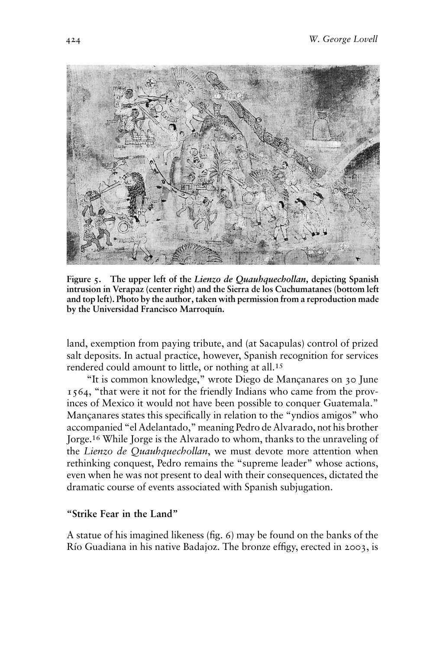

Figure 5. The upper left of the Lienzo de Quauhquechollan, depicting Spanish intrusion in Verapaz (center right) and the Sierra de los Cuchumatanes (bottom left and top left). Photo by the author, taken with permission from a reproduction made by the Universidad Francisco Marroquín.

land, exemption from paying tribute, and (at Sacapulas) control of prized salt deposits. In actual practice, however, Spanish recognition for services rendered could amount to little, or nothing at all.15

"It is common knowledge," wrote Diego de Mançanares on 30 June 1564, "that were it not for the friendly Indians who came from the provinces of Mexico it would not have been possible to conquer Guatemala." Mançanares states this specifically in relation to the "yndios amigos" who accompanied "el Adelantado," meaning Pedro de Alvarado, not his brother Jorge.16 While Jorge is the Alvarado to whom, thanks to the unraveling of the Lienzo de Quauhquechollan, we must devote more attention when rethinking conquest, Pedro remains the "supreme leader" whose actions, even when he was not present to deal with their consequences, dictated the dramatic course of events associated with Spanish subjugation.

## "Strike Fear in the Land"

A statue of his imagined likeness (fig. 6) may be found on the banks of the Río Guadiana in his native Badajoz. The bronze effigy, erected in 2003, is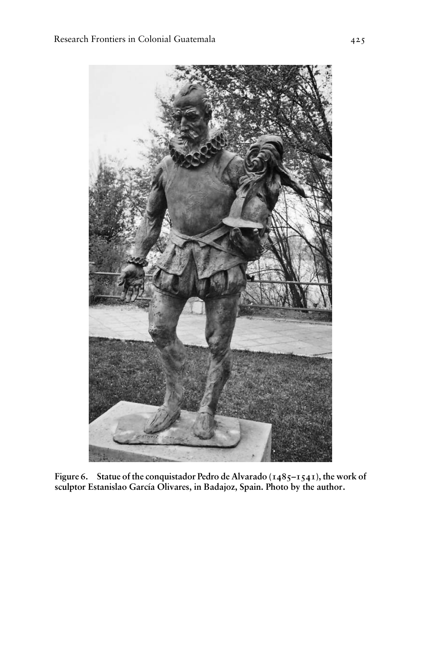

Figure 6. Statue of the conquistador Pedro de Alvarado (1485–1541), the work of sculptor Estanislao García Olivares, in Badajoz, Spain. Photo by the author.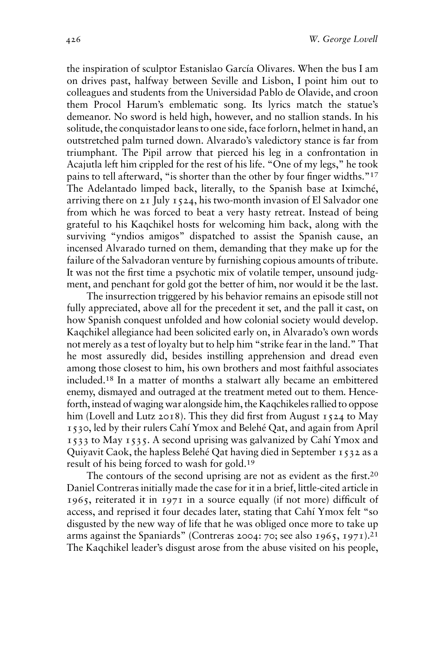the inspiration of sculptor Estanislao García Olivares. When the bus I am on drives past, halfway between Seville and Lisbon, I point him out to colleagues and students from the Universidad Pablo de Olavide, and croon them Procol Harum's emblematic song. Its lyrics match the statue's demeanor. No sword is held high, however, and no stallion stands. In his solitude, the conquistador leans to one side, face forlorn, helmet in hand, an outstretched palm turned down. Alvarado's valedictory stance is far from triumphant. The Pipil arrow that pierced his leg in a confrontation in Acajutla left him crippled for the rest of his life. "One of my legs," he took pains to tell afterward, "is shorter than the other by four finger widths."<sup>17</sup> The Adelantado limped back, literally, to the Spanish base at Iximché, arriving there on  $2I$  July 1524, his two-month invasion of El Salvador one from which he was forced to beat a very hasty retreat. Instead of being grateful to his Kaqchikel hosts for welcoming him back, along with the surviving "yndios amigos" dispatched to assist the Spanish cause, an incensed Alvarado turned on them, demanding that they make up for the failure of the Salvadoran venture by furnishing copious amounts of tribute. It was not the first time a psychotic mix of volatile temper, unsound judgment, and penchant for gold got the better of him, nor would it be the last.

The insurrection triggered by his behavior remains an episode still not fully appreciated, above all for the precedent it set, and the pall it cast, on how Spanish conquest unfolded and how colonial society would develop. Kaqchikel allegiance had been solicited early on, in Alvarado's own words not merely as a test of loyalty but to help him "strike fear in the land." That he most assuredly did, besides instilling apprehension and dread even among those closest to him, his own brothers and most faithful associates included.18 In a matter of months a stalwart ally became an embittered enemy, dismayed and outraged at the treatment meted out to them. Henceforth, instead of waging war alongside him, the Kaqchikeles rallied to oppose him (Lovell and Lutz 2018). This they did first from August 1524 to May 1530, led by their rulers Cahí Ymox and Belehé Qat, and again from April 1533 to May 1535. A second uprising was galvanized by Cahí Ymox and Quiyavit Caok, the hapless Belehé Qat having died in September 1532 as a result of his being forced to wash for gold.19

The contours of the second uprising are not as evident as the first.<sup>20</sup> Daniel Contreras initially made the case for it in a brief, little-cited article in 1965, reiterated it in 1971 in a source equally (if not more) difficult of access, and reprised it four decades later, stating that Cahí Ymox felt "so disgusted by the new way of life that he was obliged once more to take up arms against the Spaniards" (Contreras 2004: 70; see also 1965, 1971).21 The Kaqchikel leader's disgust arose from the abuse visited on his people,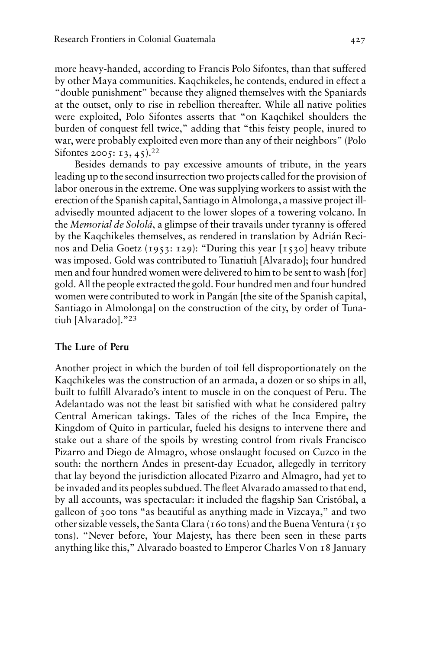more heavy-handed, according to Francis Polo Sifontes, than that suffered by other Maya communities. Kaqchikeles, he contends, endured in effect a "double punishment" because they aligned themselves with the Spaniards at the outset, only to rise in rebellion thereafter. While all native polities were exploited, Polo Sifontes asserts that "on Kaqchikel shoulders the burden of conquest fell twice," adding that "this feisty people, inured to war, were probably exploited even more than any of their neighbors" (Polo Sifontes 2005: 13, 45).<sup>22</sup>

Besides demands to pay excessive amounts of tribute, in the years leading up to the second insurrection two projects called for the provision of labor onerous in the extreme. One was supplying workers to assist with the erection of the Spanish capital, Santiago in Almolonga, a massive project illadvisedly mounted adjacent to the lower slopes of a towering volcano. In the Memorial de Sololá, a glimpse of their travails under tyranny is offered by the Kaqchikeles themselves, as rendered in translation by Adrián Recinos and Delia Goetz (1953: 129): "During this year [1530] heavy tribute was imposed. Gold was contributed to Tunatiuh [Alvarado]; four hundred men and four hundred women were delivered to him to be sent to wash [for] gold. All the people extracted the gold. Four hundred men and four hundred women were contributed to work in Pangán [the site of the Spanish capital, Santiago in Almolonga] on the construction of the city, by order of Tunatiuh [Alvarado]."23

#### The Lure of Peru

Another project in which the burden of toil fell disproportionately on the Kaqchikeles was the construction of an armada, a dozen or so ships in all, built to fulfill Alvarado's intent to muscle in on the conquest of Peru. The Adelantado was not the least bit satisfied with what he considered paltry Central American takings. Tales of the riches of the Inca Empire, the Kingdom of Quito in particular, fueled his designs to intervene there and stake out a share of the spoils by wresting control from rivals Francisco Pizarro and Diego de Almagro, whose onslaught focused on Cuzco in the south: the northern Andes in present-day Ecuador, allegedly in territory that lay beyond the jurisdiction allocated Pizarro and Almagro, had yet to be invaded and its peoples subdued. The fleet Alvarado amassed to that end, by all accounts, was spectacular: it included the flagship San Cristóbal, a galleon of 300 tons "as beautiful as anything made in Vizcaya," and two other sizable vessels, the Santa Clara (160 tons) and the Buena Ventura (150 tons). "Never before, Your Majesty, has there been seen in these parts anything like this," Alvarado boasted to Emperor Charles Von 18 January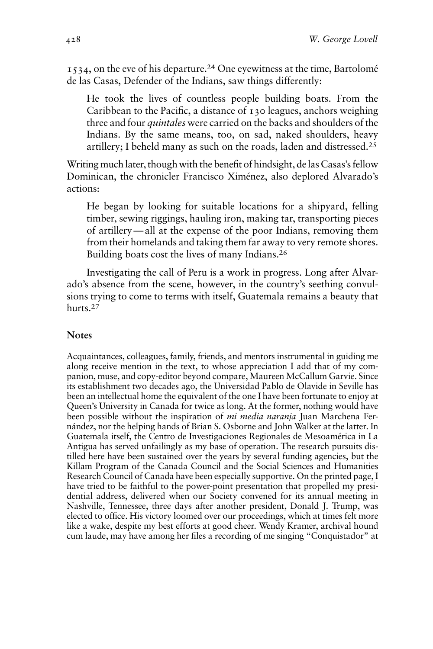1534, on the eve of his departure.24 One eyewitness at the time, Bartolomé de las Casas, Defender of the Indians, saw things differently:

He took the lives of countless people building boats. From the Caribbean to the Pacific, a distance of 130 leagues, anchors weighing three and four *quintales* were carried on the backs and shoulders of the Indians. By the same means, too, on sad, naked shoulders, heavy artillery; I beheld many as such on the roads, laden and distressed.25

Writing much later, though with the benefit of hindsight, de las Casas's fellow Dominican, the chronicler Francisco Ximénez, also deplored Alvarado's actions:

He began by looking for suitable locations for a shipyard, felling timber, sewing riggings, hauling iron, making tar, transporting pieces of artillery—all at the expense of the poor Indians, removing them from their homelands and taking them far away to very remote shores. Building boats cost the lives of many Indians.26

Investigating the call of Peru is a work in progress. Long after Alvarado's absence from the scene, however, in the country's seething convulsions trying to come to terms with itself, Guatemala remains a beauty that hurts.27

# Notes

Acquaintances, colleagues, family, friends, and mentors instrumental in guiding me along receive mention in the text, to whose appreciation I add that of my companion, muse, and copy-editor beyond compare, Maureen McCallum Garvie. Since its establishment two decades ago, the Universidad Pablo de Olavide in Seville has been an intellectual home the equivalent of the one I have been fortunate to enjoy at Queen's University in Canada for twice as long. At the former, nothing would have been possible without the inspiration of *mi media naranja* Juan Marchena Fernández, nor the helping hands of Brian S. Osborne and John Walker at the latter. In Guatemala itself, the Centro de Investigaciones Regionales de Mesoamérica in La Antigua has served unfailingly as my base of operation. The research pursuits distilled here have been sustained over the years by several funding agencies, but the Killam Program of the Canada Council and the Social Sciences and Humanities Research Council of Canada have been especially supportive. On the printed page, I have tried to be faithful to the power-point presentation that propelled my presidential address, delivered when our Society convened for its annual meeting in Nashville, Tennessee, three days after another president, Donald J. Trump, was elected to office. His victory loomed over our proceedings, which at times felt more like a wake, despite my best efforts at good cheer. Wendy Kramer, archival hound cum laude, may have among her files a recording of me singing "Conquistador" at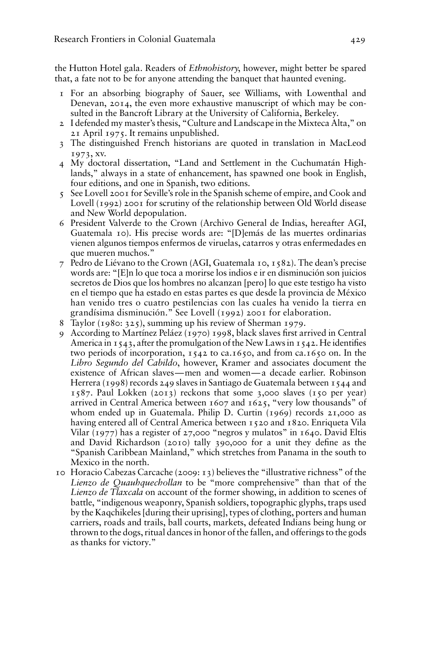the Hutton Hotel gala. Readers of Ethnohistory, however, might better be spared that, a fate not to be for anyone attending the banquet that haunted evening.

- 1 For an absorbing biography of Sauer, see Williams, with Lowenthal and Denevan, 2014, the even more exhaustive manuscript of which may be consulted in the Bancroft Library at the University of California, Berkeley.
- 2 I defended my master's thesis, "Culture and Landscape in the Mixteca Alta," on 21 April 1975. It remains unpublished.
- 3 The distinguished French historians are quoted in translation in MacLeod 1973, xv.
- 4 My doctoral dissertation, "Land and Settlement in the Cuchumatán Highlands," always in a state of enhancement, has spawned one book in English, four editions, and one in Spanish, two editions.
- 5 See Lovell 2001 for Seville's role in the Spanish scheme of empire, and Cook and Lovell (1992) 2001 for scrutiny of the relationship between Old World disease and New World depopulation.
- 6 President Valverde to the Crown (Archivo General de Indias, hereafter AGI, Guatemala 10). His precise words are: "[D]emás de las muertes ordinarias vienen algunos tiempos enfermos de viruelas, catarros y otras enfermedades en que mueren muchos."
- 7 Pedro de Liévano to the Crown (AGI, Guatemala 10, 1582). The dean's precise words are: "[E]n lo que toca a morirse los indios e ir en disminución son juicios secretos de Dios que los hombres no alcanzan [pero] lo que este testigo ha visto en el tiempo que ha estado en estas partes es que desde la provincia de México han venido tres o cuatro pestilencias con las cuales ha venido la tierra en grandísima disminución." See Lovell (1992) 2001 for elaboration.
- 8 Taylor (1980: 325), summing up his review of Sherman 1979.
- 9 According to Martínez Peláez (1970) 1998, black slaves first arrived in Central America in  $1543$ , after the promulgation of the New Laws in  $1542$ . He identifies two periods of incorporation,  $1542$  to ca.1650, and from ca.1650 on. In the Libro Segundo del Cabildo, however, Kramer and associates document the existence of African slaves—men and women—a decade earlier. Robinson Herrera (1998) records 249 slaves in Santiago de Guatemala between 1544 and 1587. Paul Lokken (2013) reckons that some 3,000 slaves (150 per year) arrived in Central America between 1607 and 1625, "very low thousands" of whom ended up in Guatemala. Philip D. Curtin  $(1969)$  records 21,000 as having entered all of Central America between 1520 and 1820. Enriqueta Vila Vilar (1977) has a register of 27,000 "negros y mulatos" in 1640. David Eltis and David Richardson (2010) tally 390,000 for a unit they define as the "Spanish Caribbean Mainland," which stretches from Panama in the south to Mexico in the north.
- 10 Horacio Cabezas Carcache (2009: 13) believes the "illustrative richness" of the Lienzo de Quauhquechollan to be "more comprehensive" than that of the Lienzo de Tlaxcala on account of the former showing, in addition to scenes of battle, "indigenous weaponry, Spanish soldiers, topographic glyphs, traps used by the Kaqchikeles [during their uprising], types of clothing, porters and human carriers, roads and trails, ball courts, markets, defeated Indians being hung or thrown to the dogs, ritual dances in honor of the fallen, and offerings to the gods as thanks for victory."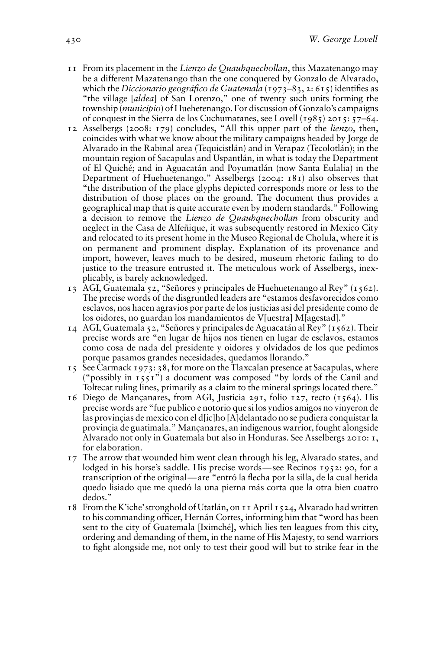- $11$  From its placement in the Lienzo de Quauhquechollan, this Mazatenango may be a different Mazatenango than the one conquered by Gonzalo de Alvarado, which the Diccionario geográfico de Guatemala (1973–83, 2: 615) identifies as "the village [aldea] of San Lorenzo," one of twenty such units forming the township (municipio) of Huehetenango. For discussion of Gonzalo's campaigns of conquest in the Sierra de los Cuchumatanes, see Lovell (1985) 2015: 57–64.
- 12 Asselbergs (2008: 179) concludes, "All this upper part of the lienzo, then, coincides with what we know about the military campaigns headed by Jorge de Alvarado in the Rabinal area (Tequicistlán) and in Verapaz (Tecolotlán); in the mountain region of Sacapulas and Uspantlán, in what is today the Department of El Quiché; and in Aguacatán and Poyumatlán (now Santa Eulalia) in the Department of Huehuetenango." Asselbergs (2004: 181) also observes that "the distribution of the place glyphs depicted corresponds more or less to the distribution of those places on the ground. The document thus provides a geographical map that is quite accurate even by modern standards." Following a decision to remove the Lienzo de Quauhquechollan from obscurity and neglect in the Casa de Alfeñique, it was subsequently restored in Mexico City and relocated to its present home in the Museo Regional de Cholula, where it is on permanent and prominent display. Explanation of its provenance and import, however, leaves much to be desired, museum rhetoric failing to do justice to the treasure entrusted it. The meticulous work of Asselbergs, inexplicably, is barely acknowledged.
- 13 AGI, Guatemala 52, "Señores y principales de Huehuetenango al Rey" (1562). The precise words of the disgruntled leaders are "estamos desfavorecidos como esclavos, nos hacen agravios por parte de los justicias asi del presidente como de los oidores, no guardan los mandamientos de V[uestra] M[agestad]."
- 14 AGI, Guatemala 52, "Señores y principales de Aguacatán al Rey" (1562). Their precise words are "en lugar de hijos nos tienen en lugar de esclavos, estamos como cosa de nada del presidente y oidores y olvidados de los que pedimos porque pasamos grandes necesidades, quedamos llorando."
- 15 See Carmack 1973: 38, for more on the Tlaxcalan presence at Sacapulas, where ("possibly in 1551") a document was composed "by lords of the Canil and Toltecat ruling lines, primarily as a claim to the mineral springs located there."
- 16 Diego de Mançanares, from AGI, Justicia 291, folio 127, recto (1564). His precise words are "fue publico e notorio que si los yndios amigos no vinyeron de las provinçias de mexico con el d[ic]ho [A]delantado no se pudiera conquistar la provinçia de guatimala." Mançanares, an indigenous warrior, fought alongside Alvarado not only in Guatemala but also in Honduras. See Asselbergs 2010: 1, for elaboration.
- 17 The arrow that wounded him went clean through his leg, Alvarado states, and lodged in his horse's saddle. His precise words—see Recinos 1952: 90, for a transcription of the original—are "entró la flecha por la silla, de la cual herida quedo lisiado que me quedó la una pierna más corta que la otra bien cuatro dedos."
- 18 From the K'iche'stronghold of Utatlán, on 11 April 1524, Alvarado had written to his commanding officer, Hernán Cortes, informing him that "word has been sent to the city of Guatemala [Iximché], which lies ten leagues from this city, ordering and demanding of them, in the name of His Majesty, to send warriors to fight alongside me, not only to test their good will but to strike fear in the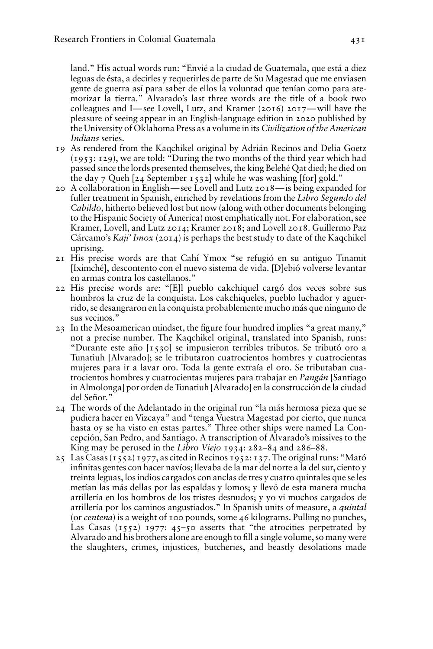land." His actual words run: "Envié a la ciudad de Guatemala, que está a diez leguas de ésta, a decirles y requerirles de parte de Su Magestad que me enviasen gente de guerra así para saber de ellos la voluntad que tenían como para atemorizar la tierra." Alvarado's last three words are the title of a book two colleagues and I—see Lovell, Lutz, and Kramer (2016)  $2017$ —will have the pleasure of seeing appear in an English-language edition in 2020 published by the University of Oklahoma Press as a volume in its *Civilization of the American* Indians series.

- 19 As rendered from the Kaqchikel original by Adrián Recinos and Delia Goetz (1953: 129), we are told: "During the two months of the third year which had passed since the lords presented themselves, the king Belehé Qat died; he died on the day 7 Queh [24 September 1532] while he was washing [for] gold."
- 20 A collaboration in English—see Lovell and Lutz 2018—is being expanded for fuller treatment in Spanish, enriched by revelations from the Libro Segundo del Cabildo, hitherto believed lost but now (along with other documents belonging to the Hispanic Society of America) most emphatically not. For elaboration, see Kramer, Lovell, and Lutz 2014; Kramer 2018; and Lovell 2018. Guillermo Paz Cárcamo's Kaji' Imox (2014) is perhaps the best study to date of the Kaqchikel uprising.
- 21 His precise words are that Cahí Ymox "se refugió en su antiguo Tinamit [Iximché], descontento con el nuevo sistema de vida. [D]ebió volverse levantar en armas contra los castellanos."
- 22 His precise words are: "[E]l pueblo cakchiquel cargó dos veces sobre sus hombros la cruz de la conquista. Los cakchiqueles, pueblo luchador y aguerrido, se desangraron en la conquista probablemente mucho más que ninguno de sus vecinos."
- 23 In the Mesoamerican mindset, the figure four hundred implies "a great many," not a precise number. The Kaqchikel original, translated into Spanish, runs: "Durante este año [1530] se impusieron terribles tributos. Se tributó oro a Tunatiuh [Alvarado]; se le tributaron cuatrocientos hombres y cuatrocientas mujeres para ir a lavar oro. Toda la gente extraía el oro. Se tributaban cuatrocientos hombres y cuatrocientas mujeres para trabajar en Pangán [Santiago] in Almolonga] por orden de Tunatiuh [Alvarado] en la construcción de la ciudad del Señor."
- 24 The words of the Adelantado in the original run "la más hermosa pieza que se pudiera hacer en Vizcaya" and "tenga Vuestra Magestad por cierto, que nunca hasta oy se ha visto en estas partes." Three other ships were named La Concepción, San Pedro, and Santiago. A transcription of Alvarado's missives to the King may be perused in the Libro Viejo 1934: 282–84 and 286–88.
- 25 Las Casas (1552) 1977, as cited in Recinos 1952: 137. The original runs: "Mató infinitas gentes con hacer navíos; llevaba de la mar del norte a la del sur, ciento y treinta leguas, los indios cargados con anclas de tres y cuatro quintales que se les metían las más dellas por las espaldas y lomos; y llevó de esta manera mucha artillería en los hombros de los tristes desnudos; y yo vi muchos cargados de artillería por los caminos angustiados." In Spanish units of measure, a quintal (or centena) is a weight of 100 pounds, some 46 kilograms. Pulling no punches, Las Casas  $(1552)$  1977: 45-50 asserts that "the atrocities perpetrated by Alvarado and his brothers alone are enough to fill a single volume, so many were the slaughters, crimes, injustices, butcheries, and beastly desolations made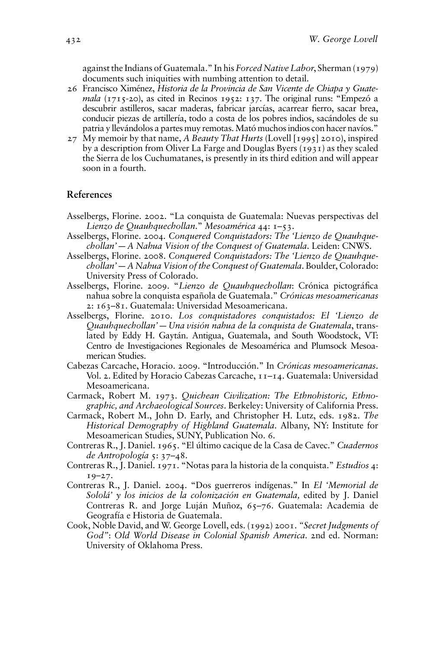against the Indians of Guatemala." In his Forced Native Labor, Sherman (1979) documents such iniquities with numbing attention to detail.

- 26 Francisco Ximénez, Historia de la Provincia de San Vicente de Chiapa y Guate*mala* ( $1715-20$ ), as cited in Recinos 1952: 137. The original runs: "Empezó a descubrir astilleros, sacar maderas, fabricar jarcías, acarrear fierro, sacar brea, conducir piezas de artillería, todo a costa de los pobres indios, sacándoles de su patria y llevándolos a partes muy remotas.Mató muchos indios con hacer navíos."
- 27 My memoir by that name, A Beauty That Hurts (Lovell [1995] 2010), inspired by a description from Oliver La Farge and Douglas Byers (1931) as they scaled the Sierra de los Cuchumatanes, is presently in its third edition and will appear soon in a fourth.

#### References

- Asselbergs, Florine. 2002. "La conquista de Guatemala: Nuevas perspectivas del Lienzo de Quauhquechollan." Mesoamérica 44: 1–53.
- Asselbergs, Florine. 2004. Conquered Conquistadors: The 'Lienzo de Quauhquechollan'—A Nahua Vision of the Conquest of Guatemala. Leiden: CNWS.
- Asselbergs, Florine. 2008. Conquered Conquistadors: The 'Lienzo de Quauhquechollan'—A Nahua Vision of the Conquest of Guatemala. Boulder, Colorado: University Press of Colorado.
- Asselbergs, Florine. 2009. "Lienzo de Quauhquechollan: Crónica pictográfica nahua sobre la conquista española de Guatemala." Crónicas mesoamericanas 2: 163–81. Guatemala: Universidad Mesoamericana.
- Asselbergs, Florine. 2010. Los conquistadores conquistados: El 'Lienzo de Quauhquechollan'—Una visión nahua de la conquista de Guatemala, translated by Eddy H. Gaytán. Antigua, Guatemala, and South Woodstock, VT: Centro de Investigaciones Regionales de Mesoamérica and Plumsock Mesoamerican Studies.
- Cabezas Carcache, Horacio. 2009. "Introducción." In Crónicas mesoamericanas. Vol. 2. Edited by Horacio Cabezas Carcache, 11–14. Guatemala: Universidad Mesoamericana.
- Carmack, Robert M. 1973. Quichean Civilization: The Ethnohistoric, Ethnographic, and Archaeological Sources. Berkeley: University of California Press.
- Carmack, Robert M., John D. Early, and Christopher H. Lutz, eds. 1982. The Historical Demography of Highland Guatemala. Albany, NY: Institute for Mesoamerican Studies, SUNY, Publication No. 6.
- Contreras R., J. Daniel. 1965. "El último cacique de la Casa de Cavec." Cuadernos de Antropología 5: 37–48.
- Contreras R., J. Daniel. 1971. "Notas para la historia de la conquista." Estudios 4:  $19-27.$
- Contreras R., J. Daniel. 2004. "Dos guerreros indígenas." In El 'Memorial de Sololá' y los inicios de la colonización en Guatemala, edited by J. Daniel Contreras R. and Jorge Luján Muñoz, 65–76. Guatemala: Academia de Geografía e Historia de Guatemala.
- Cook, Noble David, and W. George Lovell, eds. (1992) 2001. "Secret Judgments of God": Old World Disease in Colonial Spanish America. 2nd ed. Norman: University of Oklahoma Press.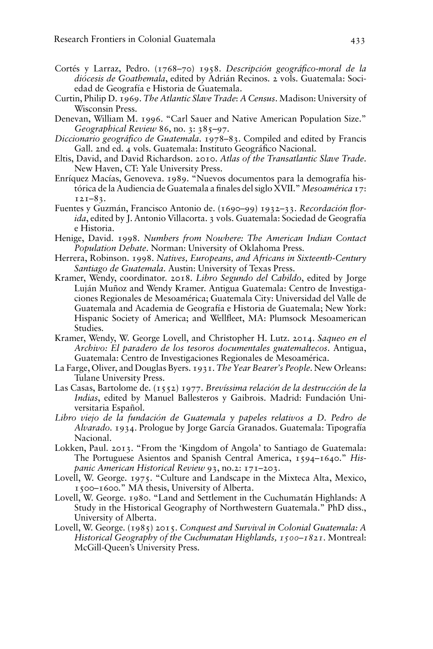- Cortés y Larraz, Pedro. (1768–70) 1958. Descripción geográfico-moral de la diócesis de Goathemala, edited by Adrián Recinos. 2 vols. Guatemala: Sociedad de Geografía e Historia de Guatemala.
- Curtin, Philip D. 1969. The Atlantic Slave Trade: A Census. Madison: University of Wisconsin Press.
- Denevan, William M. 1996. "Carl Sauer and Native American Population Size." Geographical Review 86, no. 3: 385-97.
- Diccionario geográfico de Guatemala. 1978–83. Compiled and edited by Francis Gall. 2nd ed. 4 vols. Guatemala: Instituto Geográfico Nacional.
- Eltis, David, and David Richardson. 2010. Atlas of the Transatlantic Slave Trade. New Haven, CT: Yale University Press.
- Enríquez Macías, Genoveva. 1989. "Nuevos documentos para la demografía histórica de la Audiencia de Guatemala a finales del siglo XVII." Mesoamérica 17:  $121 - 83.$
- Fuentes y Guzmán, Francisco Antonio de. (1690–99) 1932–33. Recordación florida, edited by J. Antonio Villacorta. 3 vols. Guatemala: Sociedad de Geografía e Historia.
- Henige, David. 1998. Numbers from Nowhere: The American Indian Contact Population Debate. Norman: University of Oklahoma Press.
- Herrera, Robinson. 1998. Natives, Europeans, and Africans in Sixteenth-Century Santiago de Guatemala. Austin: University of Texas Press.
- Kramer, Wendy, coordinator. 2018. Libro Segundo del Cabildo, edited by Jorge Luján Muñoz and Wendy Kramer. Antigua Guatemala: Centro de Investigaciones Regionales de Mesoamérica; Guatemala City: Universidad del Valle de Guatemala and Academia de Geografía e Historia de Guatemala; New York: Hispanic Society of America; and Wellfleet, MA: Plumsock Mesoamerican Studies.
- Kramer, Wendy, W. George Lovell, and Christopher H. Lutz. 2014. Saqueo en el Archivo: El paradero de los tesoros documentales guatemaltecos. Antigua, Guatemala: Centro de Investigaciones Regionales de Mesoamérica.
- La Farge, Oliver, and Douglas Byers. 1931. The Year Bearer's People. New Orleans: Tulane University Press.
- Las Casas, Bartolome de. (1552) 1977. Brevíssima relación de la destrucción de la Indias, edited by Manuel Ballesteros y Gaibrois. Madrid: Fundación Universitaria Español.
- Libro viejo de la fundación de Guatemala y papeles relativos a D. Pedro de Alvarado. 1934. Prologue by Jorge García Granados. Guatemala: Tipografía Nacional.
- Lokken, Paul. 2013. "From the 'Kingdom of Angola' to Santiago de Guatemala: The Portuguese Asientos and Spanish Central America, 1594–1640." Hispanic American Historical Review 93, no.2: 171–203.
- Lovell, W. George. 1975. "Culture and Landscape in the Mixteca Alta, Mexico, 1500–1600." MA thesis, University of Alberta.
- Lovell, W. George. 1980. "Land and Settlement in the Cuchumatán Highlands: A Study in the Historical Geography of Northwestern Guatemala." PhD diss., University of Alberta.
- Lovell, W. George. (1985) 2015. Conquest and Survival in Colonial Guatemala: A Historical Geography of the Cuchumatan Highlands, 1500–1821. Montreal: McGill-Queen's University Press.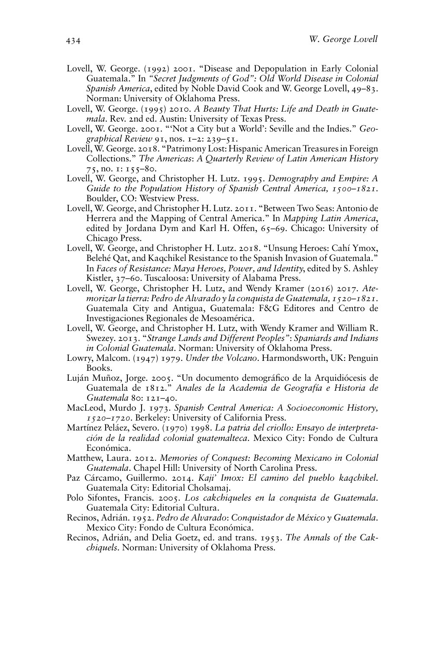- Lovell, W. George. (1992) 2001. "Disease and Depopulation in Early Colonial Guatemala." In "Secret Judgments of God": Old World Disease in Colonial Spanish America, edited by Noble David Cook and W. George Lovell, 49–83. Norman: University of Oklahoma Press.
- Lovell, W. George. (1995) 2010. A Beauty That Hurts: Life and Death in Guatemala. Rev. 2nd ed. Austin: University of Texas Press.
- Lovell, W. George. 2001. "'Not a City but a World': Seville and the Indies." Geographical Review 91, nos. 1–2: 239–51.
- Lovell, W. George. 2018. "Patrimony Lost: Hispanic American Treasures in Foreign Collections." The Americas: A Quarterly Review of Latin American History 75, no. 1: 155–80.
- Lovell, W. George, and Christopher H. Lutz. 1995. Demography and Empire: A Guide to the Population History of Spanish Central America, 1500–1821. Boulder, CO: Westview Press.
- Lovell, W. George, and Christopher H. Lutz. 2011. "Between Two Seas: Antonio de Herrera and the Mapping of Central America." In Mapping Latin America, edited by Jordana Dym and Karl H. Offen, 65–69. Chicago: University of Chicago Press.
- Lovell, W. George, and Christopher H. Lutz. 2018. "Unsung Heroes: Cahí Ymox, Belehé Qat, and Kaqchikel Resistance to the Spanish Invasion of Guatemala." In Faces of Resistance: Maya Heroes, Power, and Identity, edited by S. Ashley Kistler, 37–60. Tuscaloosa: University of Alabama Press.
- Lovell, W. George, Christopher H. Lutz, and Wendy Kramer (2016) 2017. Atemorizar la tierra: Pedro de Alvarado y la conquista de Guatemala, 1520–1821. Guatemala City and Antigua, Guatemala: F&G Editores and Centro de Investigaciones Regionales de Mesoamérica.
- Lovell, W. George, and Christopher H. Lutz, with Wendy Kramer and William R. Swezey. 2013. "Strange Lands and Different Peoples": Spaniards and Indians in Colonial Guatemala. Norman: University of Oklahoma Press.
- Lowry, Malcom. (1947) 1979. Under the Volcano. Harmondsworth, UK: Penguin Books.
- Luján Muñoz, Jorge. 2005. "Un documento demográfico de la Arquidiócesis de Guatemala de 1812." Anales de la Academia de Geografía e Historia de Guatemala 80: 121–40.
- MacLeod, Murdo J. 1973. Spanish Central America: A Socioeconomic History, 1520–1720. Berkeley: University of California Press.
- Martínez Peláez, Severo. (1970) 1998. La patria del criollo: Ensayo de interpretación de la realidad colonial guatemalteca. Mexico City: Fondo de Cultura Económica.
- Matthew, Laura. 2012. Memories of Conquest: Becoming Mexicano in Colonial Guatemala. Chapel Hill: University of North Carolina Press.
- Paz Cárcamo, Guillermo. 2014. Kaji' Imox: El camino del pueblo kaqchikel. Guatemala City: Editorial Cholsamaj.
- Polo Sifontes, Francis. 2005. Los cakchiqueles en la conquista de Guatemala. Guatemala City: Editorial Cultura.
- Recinos, Adrián. 1952. Pedro de Alvarado: Conquistador de México y Guatemala. Mexico City: Fondo de Cultura Económica.
- Recinos, Adrián, and Delia Goetz, ed. and trans. 1953. The Annals of the Cakchiquels. Norman: University of Oklahoma Press.